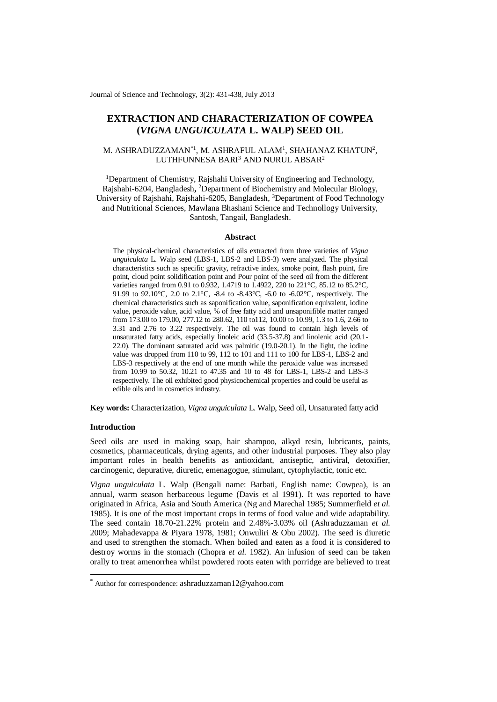Journal of Science and Technology, 3(2): 431-438, July 2013

# **EXTRACTION AND CHARACTERIZATION OF COWPEA (***VIGNA UNGUICULATA* **L. WALP) SEED OIL**

# M. ASHRADUZZAMAN $^*$ 1, M. ASHRAFUL ALAM<sup>1</sup>, SHAHANAZ KHATUN $^2$ , LUTHFUNNESA BARI<sup>3</sup> AND NURUL ABSAR<sup>2</sup>

<sup>1</sup>Department of Chemistry, Rajshahi University of Engineering and Technology, Rajshahi-6204, Bangladesh**,**  <sup>2</sup>Department of Biochemistry and Molecular Biology, University of Rajshahi, Rajshahi-6205, Bangladesh, <sup>3</sup>Department of Food Technology and Nutritional Sciences, Mawlana Bhashani Science and Technollogy University, Santosh, Tangail, Bangladesh.

# **Abstract**

The physical-chemical characteristics of oils extracted from three varieties of *Vigna unguiculata* L. Walp seed (LBS-1, LBS-2 and LBS-3) were analyzed. The physical characteristics such as specific gravity, refractive index, smoke point, flash point, fire point, cloud point solidification point and Pour point of the seed oil from the different varieties ranged from 0.91 to 0.932, 1.4719 to 1.4922, 220 to 221°C, 85.12 to 85.2°C, 91.99 to 92.10°C, 2.0 to 2.1°C, -8.4 to -8.43°C, -6.0 to -6.02°C, respectively. The chemical characteristics such as saponification value, saponification equivalent, iodine value, peroxide value, acid value, % of free fatty acid and unsaponifible matter ranged from 173.00 to 179.00, 277.12 to 280.62, 110 to112, 10.00 to 10.99, 1.3 to 1.6, 2.66 to 3.31 and 2.76 to 3.22 respectively. The oil was found to contain high levels of unsaturated fatty acids, especially linoleic acid (33.5-37.8) and linolenic acid (20.1- 22.0). The dominant saturated acid was palmitic (19.0-20.1). In the light, the iodine value was dropped from 110 to 99, 112 to 101 and 111 to 100 for LBS-1, LBS-2 and LBS-3 respectively at the end of one month while the peroxide value was increased from 10.99 to 50.32, 10.21 to 47.35 and 10 to 48 for LBS-1, LBS-2 and LBS-3 respectively. The oil exhibited good physicochemical properties and could be useful as edible oils and in cosmetics industry.

**Key words:** Characterization, *Vigna unguiculata* L. Walp, Seed oil, Unsaturated fatty acid

# **Introduction**

1

Seed oils are used in making soap, hair shampoo, alkyd resin, lubricants, paints, cosmetics, pharmaceuticals, [drying agents,](http://en.wikipedia.org/wiki/Drying_agent) and other industrial purposes. They also play important roles in health benefits as antioxidant, antiseptic, antiviral, detoxifier, carcinogenic, depurative, diuretic, emenagogue, stimulant, cytophylactic, tonic etc.

*Vigna unguiculata* L. Walp (Bengali name: Barbati, English name: Cowpea), is an annual, warm season herbaceous legume (Davis et al 1991). It was reported to have originated in Africa, Asia and South America (Ng and Marechal 1985; Summerfield *et al.*  1985). It is one of the most important crops in terms of food value and wide adaptability. The seed contain 18.70-21.22% protein and 2.48%-3.03% oil (Ashraduzzaman *et al.*  2009; Mahadevappa & Piyara 1978, 1981; Onwuliri & Obu 2002). The seed is diuretic and used to strengthen the stomach. When boiled and eaten as a food it is considered to destroy worms in the stomach (Chopra *et al.* 1982). An infusion of seed can be taken orally to treat amenorrhea whilst powdered roots eaten with porridge are believed to treat

<sup>\*</sup> Author for correspondence: [ashraduzzaman12@yahoo.com](mailto:ashraduzzaman12@yahoo.com)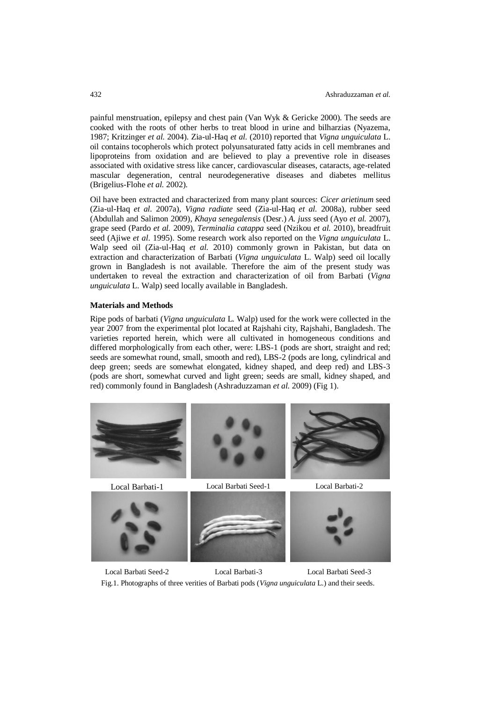painful menstruation, epilepsy and chest pain (Van Wyk & Gericke 2000). The seeds are cooked with the roots of other herbs to treat blood in urine and bilharzias (Nyazema, 1987; Kritzinger *et al.* 2004). Zia-ul-Haq *et al.* (2010) reported that *Vigna unguiculata* L. oil contains tocopherols which protect polyunsaturated fatty acids in cell membranes and lipoproteins from oxidation and are believed to play a preventive role in diseases associated with oxidative stress like cancer, cardiovascular diseases, cataracts, age-related mascular degeneration, central neurodegenerative diseases and diabetes mellitus (Brigelius-Flohe *et al.* 2002).

Oil have been extracted and characterized from many plant sources: *Cicer arietinum* seed (Zia-ul-Haq *et al.* 2007a)*, Vigna radiate* seed (Zia-ul-Haq *et al.* 2008a)*,* rubber seed (Abdullah and Salimon 2009)*, Khaya senegalensis* (Desr.) *A. juss* seed (Ayo *et al.* 2007), grape seed (Pardo *et al.* 2009), *Terminalia catappa* seed (Nzikou *et al.* 2010), breadfruit seed (Ajiwe *et al.* 1995). Some research work also reported on the *Vigna unguiculata* L. Walp seed oil (Zia-ul-Haq *et al.* 2010) commonly grown in Pakistan, but data on extraction and characterization of Barbati (*Vigna unguiculata* L. Walp) seed oil locally grown in Bangladesh is not available. Therefore the aim of the present study was undertaken to reveal the extraction and characterization of oil from Barbati (*Vigna unguiculata* L. Walp) seed locally available in Bangladesh.

#### **Materials and Methods**

Ripe pods of barbati (*Vigna unguiculata* L*.* Walp) used for the work were collected in the year 2007 from the experimental plot located at Rajshahi city, Rajshahi, Bangladesh. The varieties reported herein, which were all cultivated in homogeneous conditions and differed morphologically from each other, were: LBS-1 (pods are short, straight and red; seeds are somewhat round, small, smooth and red), LBS-2 (pods are long, cylindrical and deep green; seeds are somewhat elongated, kidney shaped, and deep red) and LBS-3 (pods are short, somewhat curved and light green; seeds are small, kidney shaped, and red) commonly found in Bangladesh (Ashraduzzaman *et al.* 2009) (Fig 1).









Local Barbati Seed-2 Local Barbati-3 Local Barbati Seed-3 Fig.1. Photographs of three verities of Barbati pods (*Vigna unguiculata* L.) and their seeds.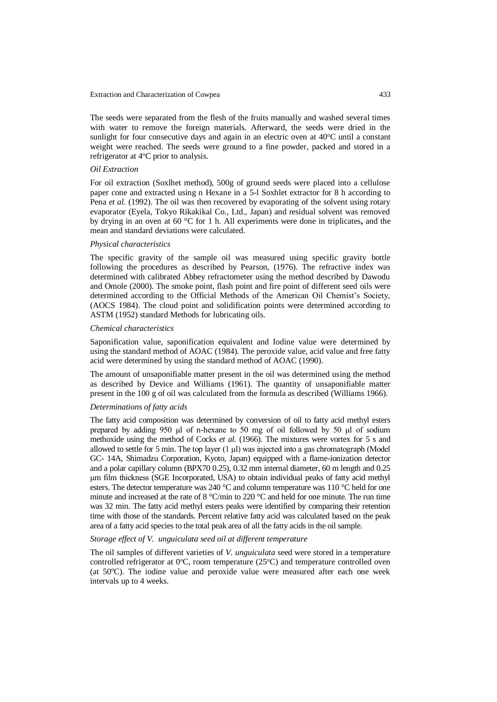#### Extraction and Characterization of Cowpea 433

The seeds were separated from the flesh of the fruits manually and washed several times with water to remove the foreign materials. Afterward, the seeds were dried in the sunlight for four consecutive days and again in an electric oven at  $40^{\circ}$ C until a constant weight were reached. The seeds were ground to a fine powder, packed and stored in a refrigerator at  $4^{\circ}$ C prior to analysis.

# *Oil Extraction*

For oil extraction (Soxlhet method), 500g of ground seeds were placed into a cellulose paper cone and extracted using n Hexane in a 5-l Soxhlet extractor for 8 h according to Pena *et al.* (1992). The oil was then recovered by evaporating of the solvent using rotary evaporator (Eyela, Tokyo Rikakikal Co., Ltd., Japan) and residual solvent was removed by drying in an oven at 60 °C for 1 h. All experiments were done in triplicates**,** and the mean and standard deviations were calculated.

#### *Physical characteristics*

The specific gravity of the sample oil was measured using specific gravity bottle following the procedures as described by Pearson, (1976). The refractive index was determined with calibrated Abbey refractometer using the method described by Dawodu and Omole (2000). The smoke point, flash point and fire point of different seed oils were determined according to the Official Methods of the American Oil Chemist's Society, (AOCS 1984). The cloud point and solidification points were determined according to ASTM (1952) standard Methods for lubricating oils.

#### *Chemical characteristics*

Saponification value, saponification equivalent and Iodine value were determined by using the standard method of AOAC (1984). The peroxide value, acid value and free fatty acid were determined by using the standard method of AOAC (1990).

The amount of unsaponifiable matter present in the oil was determined using the method as described by Device and Williams (1961). The quantity of unsaponifiable matter present in the 100 g of oil was calculated from the formula as described (Williams 1966).

# *Determinations of fatty acids*

The fatty acid composition was determined by conversion of oil to fatty acid methyl esters prepared by adding 950 μl of n-hexane to 50 mg of oil followed by 50 μl of sodium methoxide using the method of Cocks *et al.* (1966). The mixtures were vortex for 5 s and allowed to settle for 5 min. The top layer  $(1 \mu)$  was injected into a gas chromatograph (Model GC- 14A, Shimadzu Corporation, Kyoto, Japan) equipped with a flame-ionization detector and a polar capillary column (BPX70 0.25), 0.32 mm internal diameter, 60 m length and 0.25 μm film thickness (SGE Incorporated, USA) to obtain individual peaks of fatty acid methyl esters. The detector temperature was 240 °C and column temperature was 110 °C held for one minute and increased at the rate of 8 °C/min to 220 °C and held for one minute. The run time was 32 min. The fatty acid methyl esters peaks were identified by comparing their retention time with those of the standards. Percent relative fatty acid was calculated based on the peak area of a fatty acid species to the total peak area of all the fatty acids in the oil sample.

# *Storage effect of V. unguiculata seed oil at different temperature*

The oil samples of different varieties of *V. unguiculata* seed were stored in a temperature controlled refrigerator at  $0^{\circ}$ C, room temperature (25 $^{\circ}$ C) and temperature controlled oven (at  $50^{\circ}$ C). The iodine value and peroxide value were measured after each one week intervals up to 4 weeks.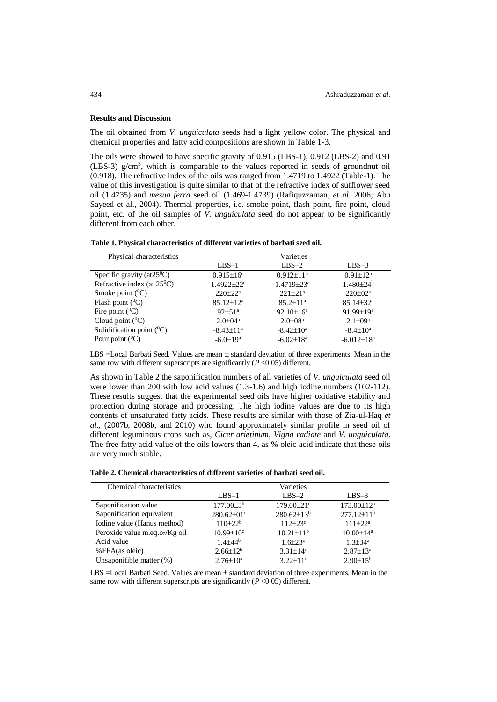## **Results and Discussion**

The oil obtained from *V. unguiculata* seeds had a light yellow color. The physical and chemical properties and fatty acid compositions are shown in Table 1-3.

The oils were showed to have specific gravity of 0.915 (LBS-1), 0.912 (LBS-2) and 0.91 (LBS-3) g/cm<sup>3</sup> , which is comparable to the values reported in seeds of groundnut oil (0.918). The refractive index of the oils was ranged from 1.4719 to 1.4922 (Table-1). The value of this investigation is quite similar to that of the refractive index of sufflower seed oil (1.4735) and *mesua ferra* seed oil (1.469-1.4739) (Rafiquzzaman, *et al.* 2006; Abu Sayeed et al., 2004). Thermal properties, i.e. smoke point, flash point, fire point, cloud point, etc. of the oil samples of *V. unguiculata* seed do not appear to be significantly different from each other.

| Table 1. Physical characteristics of different varieties of barbati seed oil. |  |  |  |
|-------------------------------------------------------------------------------|--|--|--|
|-------------------------------------------------------------------------------|--|--|--|

| Physical characteristics             |                             | Varieties                    |                             |
|--------------------------------------|-----------------------------|------------------------------|-----------------------------|
|                                      | $LBS-1$                     | $LBS-2$                      | $LBS-3$                     |
| Specific gravity (at $25^{\circ}$ C) | $0.915 \pm 16^c$            | $0.912 \pm 11^{b}$           | $0.91 \pm 12^a$             |
| Refractive index (at $25^{\circ}$ C) | $1.4922 + 22^c$             | $1.4719 \pm 23$ <sup>a</sup> | $1.480 \pm 24^b$            |
| Smoke point $(^0C)$                  | $220+22^a$                  | $221 \pm 21$ <sup>a</sup>    | $220 \pm 02^{\text{a}}$     |
| Flash point $(^0C)$                  | $85.12 \pm 12^a$            | $85.2 \pm 11^a$              | $85.14 \pm 32$ <sup>a</sup> |
| Fire point $(^0C)$                   | $92+51^a$                   | $92.10 \pm 16^a$             | $91.99 \pm 19^a$            |
| Cloud point $(^0C)$                  | $2.0 \pm 0.4^{\mathrm{a}}$  | $2.0 \pm 0.8^{\mathrm{a}}$   | $2.1 \pm 0.9^{\circ}$       |
| Solidification point $(^{0}C)$       | $-8.43 \pm 11$ <sup>a</sup> | $-8.42 \pm 10^a$             | $-8.4 \pm 10^a$             |
| Pour point $(^0C)$                   | $-6.0 \pm 19^{\rm a}$       | $-6.02 \pm 18^a$             | $-6.012 \pm 18^a$           |

LBS =Local Barbati Seed. Values are mean  $\pm$  standard deviation of three experiments. Mean in the same row with different superscripts are significantly  $(P < 0.05)$  different.

As shown in Table 2 the saponification numbers of all varieties of *V. unguiculata* seed oil were lower than 200 with low acid values (1.3-1.6) and high iodine numbers (102-112). These results suggest that the experimental seed oils have higher oxidative stability and protection during storage and processing. The high iodine values are due to its high contents of unsaturated fatty acids. These results are similar with those of Zia-ul-Haq *et al*., (2007b, 2008b, and 2010) who found approximately similar profile in seed oil of different leguminous crops such as*, Cicer arietinum, Vigna radiate* and *V. unguiculata*. The free fatty acid value of the oils lowers than 4, as % oleic acid indicate that these oils are very much stable.

| Chemical characteristics      |                        | Varieties                  |                           |
|-------------------------------|------------------------|----------------------------|---------------------------|
|                               | $LBS-1$                | $LBS-2$                    | $LBS-3$                   |
| Saponification value          | $177.00\pm3^{b}$       | $179.00 \pm 21$ °          | $173.00 \pm 12^a$         |
| Saponification equivalent     | $280.62 \pm 01$ °      | $280.62 \pm 13^{b}$        | $277.12 \pm 11^a$         |
| Iodine value (Hanus method)   | $110+22b$              | $112 + 23$ °               | $111 + 22^a$              |
| Peroxide value m.eq.o2/Kg oil | $10.99 \pm 10^{\circ}$ | $10.21 \pm 11^{b}$         | $10.00 \pm 14^{\text{a}}$ |
| Acid value                    | $1.4 + 44^{b}$         | $1.6 \pm 23$ °             | $1.3 \pm 34$ <sup>a</sup> |
| %FFA(as oleic)                | $2.66 \pm 12^{b}$      | $3.31 \pm 14$ <sup>c</sup> | $2.87 \pm 13^a$           |
| Unsaponifible matter (%)      | $2.76 \pm 10^a$        | $3.22 \pm 11$ <sup>c</sup> | $2.90 \pm 15^b$           |

LBS  $=$ Local Barbati Seed. Values are mean  $\pm$  standard deviation of three experiments. Mean in the same row with different superscripts are significantly  $(P < 0.05)$  different.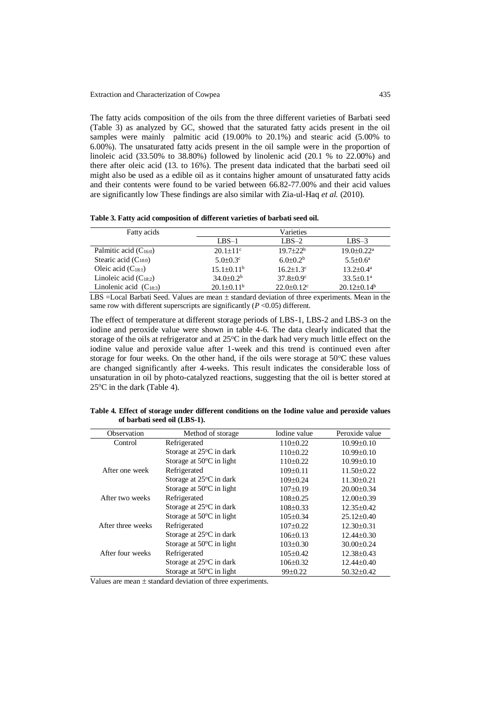The fatty acids composition of the oils from the three different varieties of Barbati seed (Table 3) as analyzed by GC, showed that the saturated fatty acids present in the oil samples were mainly palmitic acid (19.00% to 20.1%) and stearic acid (5.00% to 6.00%). The unsaturated fatty acids present in the oil sample were in the proportion of linoleic acid (33.50% to 38.80%) followed by linolenic acid (20.1 % to 22.00%) and there after oleic acid (13. to 16%). The present data indicated that the barbati seed oil might also be used as a edible oil as it contains higher amount of unsaturated fatty acids and their contents were found to be varied between 66.82-77.00% and their acid values are significantly low These findings are also similar with Zia-ul-Haq *et al.* (2010).

**Table 3. Fatty acid composition of different varieties of barbati seed oil.**

| Fatty acids                 |                            | Varieties                    |                              |
|-----------------------------|----------------------------|------------------------------|------------------------------|
|                             | $LBS-1$                    | $LBS-2$                      | $LBS-3$                      |
| Palmitic acid $(C_{16:0})$  | $20.1 \pm 11$ <sup>c</sup> | $19.7 \pm 22^b$              | $19.0 \pm 0.22$ <sup>a</sup> |
| Stearic acid $(C_{18:0})$   | $5.0 \pm 0.3$ <sup>c</sup> | $6.0\pm0.2b$                 | $5.5 \pm 0.6^{\mathrm{a}}$   |
| Oleic acid $(C_{18:1})$     | $15.1 \pm 0.11^b$          | $16.2 \pm 1.3$ °             | $13.2 \pm 0.4^{\text{a}}$    |
| Linoleic acid $(C_{18:2})$  | $34.0 \pm 0.2^b$           | $37.8 \pm 0.9$ <sup>c</sup>  | $33.5 \pm 0.1^a$             |
| Linolenic acid $(C_{18:3})$ | $20.1 \pm 0.11^b$          | $22.0 \pm 0.12$ <sup>c</sup> | $20.12\pm0.14^{\rm b}$       |

LBS  $=$ Local Barbati Seed. Values are mean  $\pm$  standard deviation of three experiments. Mean in the same row with different superscripts are significantly  $(P \le 0.05)$  different.

The effect of temperature at different storage periods of LBS-1, LBS-2 and LBS-3 on the iodine and peroxide value were shown in table 4-6. The data clearly indicated that the storage of the oils at refrigerator and at  $25^{\circ}$ C in the dark had very much little effect on the iodine value and peroxide value after 1-week and this trend is continued even after storage for four weeks. On the other hand, if the oils were storage at  $50^{\circ}$ C these values are changed significantly after 4-weeks. This result indicates the considerable loss of unsaturation in oil by photo-catalyzed reactions, suggesting that the oil is better stored at  $25^{\circ}$ C in the dark (Table 4).

**Table 4. Effect of storage under different conditions on the Iodine value and peroxide values of barbati seed oil (LBS-1).**

| Observation       | Method of storage                  | Iodine value   | Peroxide value   |
|-------------------|------------------------------------|----------------|------------------|
| Control           | Refrigerated                       | $110\pm0.22$   | $10.99 \pm 0.10$ |
|                   | Storage at 25°C in dark            | $110\pm0.22$   | $10.99 \pm 0.10$ |
|                   | Storage at $50^{\circ}$ C in light | $110\pm0.22$   | $10.99 \pm 0.10$ |
| After one week    | Refrigerated                       | $109 \pm 0.11$ | $11.50 \pm 0.22$ |
|                   | Storage at 25°C in dark            | $109\pm0.24$   | $11.30 \pm 0.21$ |
|                   | Storage at $50^{\circ}$ C in light | $107\pm0.19$   | $20.00 \pm 0.34$ |
| After two weeks   | Refrigerated                       | $108 \pm 0.25$ | $12.00 \pm 0.39$ |
|                   | Storage at 25°C in dark            | $108 \pm 0.33$ | $12.35 \pm 0.42$ |
|                   | Storage at $50^{\circ}$ C in light | $105 \pm 0.34$ | $25.12 \pm 0.40$ |
| After three weeks | Refrigerated                       | $107\pm0.22$   | $12.30 \pm 0.31$ |
|                   | Storage at $25^{\circ}$ C in dark  | $106\pm0.13$   | $12.44\pm0.30$   |
|                   | Storage at $50^{\circ}$ C in light | $103\pm0.30$   | $30.00 \pm 0.24$ |
| After four weeks  | Refrigerated                       | $105 \pm 0.42$ | $12.38 \pm 0.43$ |
|                   | Storage at $25^{\circ}$ C in dark  | $106 \pm 0.32$ | $12.44 \pm 0.40$ |
|                   | Storage at $50^{\circ}$ C in light | $99 \pm 0.22$  | $50.32 \pm 0.42$ |

Values are mean  $\pm$  standard deviation of three experiments.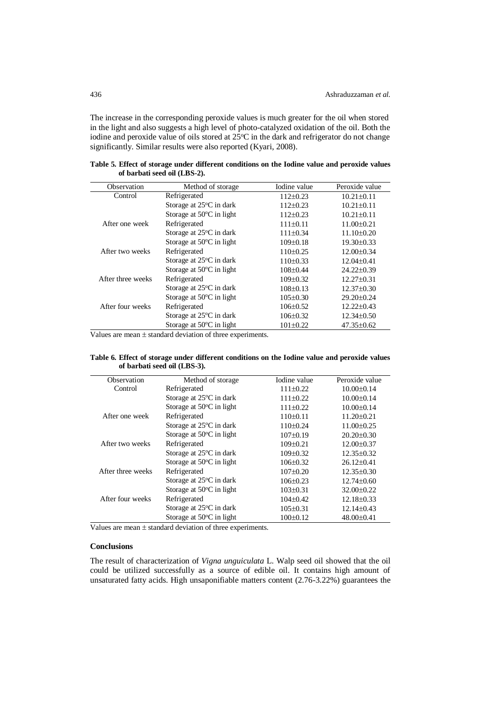The increase in the corresponding peroxide values is much greater for the oil when stored in the light and also suggests a high level of photo-catalyzed oxidation of the oil. Both the iodine and peroxide value of oils stored at 25°C in the dark and refrigerator do not change significantly. Similar results were also reported (Kyari, 2008).

**Table 5. Effect of storage under different conditions on the Iodine value and peroxide values of barbati seed oil (LBS-2).**

| Observation       | Method of storage                  | Iodine value   | Peroxide value   |
|-------------------|------------------------------------|----------------|------------------|
| Control           | Refrigerated                       | $112+0.23$     | $10.21 \pm 0.11$ |
|                   | Storage at 25°C in dark            | $112+0.23$     | $10.21 \pm 0.11$ |
|                   | Storage at $50^{\circ}$ C in light | $112+0.23$     | $10.21 \pm 0.11$ |
| After one week    | Refrigerated                       | $111 \pm 0.11$ | $11.00 \pm 0.21$ |
|                   | Storage at 25°C in dark            | $111 \pm 0.34$ | $11.10\pm0.20$   |
|                   | Storage at $50^{\circ}$ C in light | $109 \pm 0.18$ | $19.30 \pm 0.33$ |
| After two weeks   | Refrigerated                       | $110\pm0.25$   | $12.00 \pm 0.34$ |
|                   | Storage at 25°C in dark            | $110\pm0.33$   | $12.04 \pm 0.41$ |
|                   | Storage at $50^{\circ}$ C in light | $108 \pm 0.44$ | $24.22 \pm 0.39$ |
| After three weeks | Refrigerated                       | $109 \pm 0.32$ | $12.27 \pm 0.31$ |
|                   | Storage at $25^{\circ}$ C in dark  | $108 \pm 0.13$ | $12.37 \pm 0.30$ |
|                   | Storage at $50^{\circ}$ C in light | $105\pm0.30$   | $29.20 \pm 0.24$ |
| After four weeks  | Refrigerated                       | $106 \pm 0.52$ | $12.22 \pm 0.43$ |
|                   | Storage at 25°C in dark            | $106 \pm 0.32$ | $12.34\pm0.50$   |
|                   | Storage at $50^{\circ}$ C in light | $101\pm0.22$   | $47.35 \pm 0.62$ |

Values are mean  $\pm$  standard deviation of three experiments.

**Table 6. Effect of storage under different conditions on the Iodine value and peroxide values of barbati seed oil (LBS-3).**

| Observation       | Method of storage                  | Iodine value   | Peroxide value   |
|-------------------|------------------------------------|----------------|------------------|
| Control           | Refrigerated                       | $111\pm0.22$   | $10.00 \pm 0.14$ |
|                   | Storage at 25°C in dark            | $111\pm0.22$   | $10.00 \pm 0.14$ |
|                   | Storage at $50^{\circ}$ C in light | $111\pm0.22$   | $10.00 \pm 0.14$ |
| After one week    | Refrigerated                       | $110\pm0.11$   | $11.20 \pm 0.21$ |
|                   | Storage at 25°C in dark            | $110\pm0.24$   | $11.00 \pm 0.25$ |
|                   | Storage at $50^{\circ}$ C in light | $107\pm0.19$   | $20.20 \pm 0.30$ |
| After two weeks   | Refrigerated                       | $109 \pm 0.21$ | $12.00 \pm 0.37$ |
|                   | Storage at 25°C in dark            | $109 \pm 0.32$ | $12.35 \pm 0.32$ |
|                   | Storage at $50^{\circ}$ C in light | $106 \pm 0.32$ | $26.12 \pm 0.41$ |
| After three weeks | Refrigerated                       | $107\pm0.20$   | $12.35 \pm 0.30$ |
|                   | Storage at $25^{\circ}$ C in dark  | $106\pm0.23$   | $12.74 \pm 0.60$ |
|                   | Storage at $50^{\circ}$ C in light | $103\pm0.31$   | $32.00 \pm 0.22$ |
| After four weeks  | Refrigerated                       | $104+0.42$     | $12.18 \pm 0.33$ |
|                   | Storage at $25^{\circ}$ C in dark  | $105 \pm 0.31$ | $12.14\pm0.43$   |
|                   | Storage at $50^{\circ}$ C in light | $100\pm0.12$   | $48.00 \pm 0.41$ |

Values are mean  $\pm$  standard deviation of three experiments.

# **Conclusions**

The result of characterization of *Vigna unguiculata* L. Walp seed oil showed that the oil could be utilized successfully as a source of edible oil. It contains high amount of unsaturated fatty acids. High unsaponifiable matters content (2.76-3.22%) guarantees the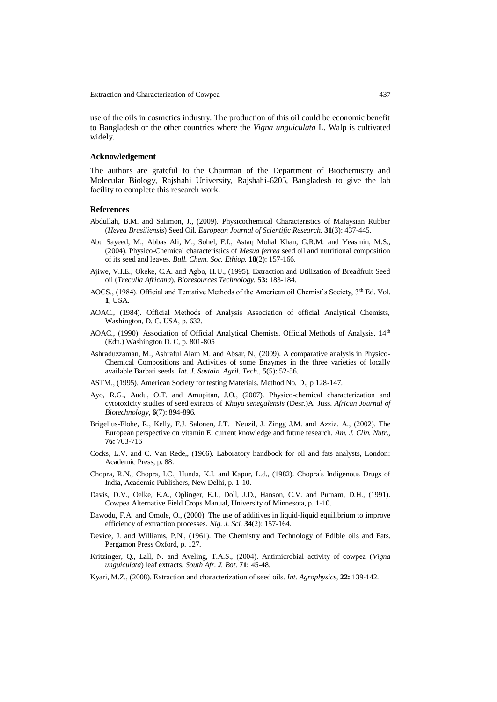Extraction and Characterization of Cowpea 437

use of the oils in cosmetics industry. The production of this oil could be economic benefit to Bangladesh or the other countries where the *Vigna unguiculata* L. Walp is cultivated widely.

#### **Acknowledgement**

The authors are grateful to the Chairman of the Department of Biochemistry and Molecular Biology, Rajshahi University, Rajshahi-6205, Bangladesh to give the lab facility to complete this research work.

#### **References**

- Abdullah, B.M. and Salimon, J., (2009). Physicochemical Characteristics of Malaysian Rubber (*Hevea Brasiliensis*) Seed Oil. *European Journal of Scientific Research.* **31**(3): 437-445.
- Abu Sayeed, M., Abbas Ali, M., Sohel, F.I., Astaq Mohal Khan, G.R.M. and Yeasmin, M.S., (2004). Physico-Chemical characteristics of *Mesua ferrea* seed oil and nutritional composition of its seed and leaves. *Bull. Chem. Soc. Ethiop.* **18**(2): 157-166.
- Ajiwe, V.I.E., Okeke, C.A. and Agbo, H.U., (1995). Extraction and Utilization of Breadfruit Seed oil (*Treculia Africana*). *Bioresources Technology.* **53:** 183-184.
- AOCS., (1984). Official and Tentative Methods of the American oil Chemist's Society, 3<sup>th</sup> Ed. Vol. **1**, USA.
- AOAC., (1984). Official Methods of Analysis Association of official Analytical Chemists, Washington, D. C. USA, p. 632.
- AOAC., (1990). Association of Official Analytical Chemists. Official Methods of Analysis, 14<sup>th</sup> (Edn.) Washington D. C, p. 801-805
- Ashraduzzaman, M., Ashraful Alam M. and Absar, N., (2009). A comparative analysis in Physico-Chemical Compositions and Activities of some Enzymes in the three varieties of locally available Barbati seeds. *Int. J. Sustain. Agril. Tech*., **5**(5): 52-56.
- ASTM., (1995). American Society for testing Materials. Method No. D., p 128-147.
- Ayo, R.G., Audu, O.T. and Amupitan, J.O., (2007). Physico-chemical characterization and cytotoxicity studies of seed extracts of *Khaya senegalensis* (Desr.)A. Juss. *African Journal of Biotechnology*, **6**(7): 894-896.
- Brigelius-Flohe, R., Kelly, F.J. Salonen, J.T. Neuzil, J. Zingg J.M. and Azziz. A., (2002). The European perspective on vitamin E: current knowledge and future research. *Am. J. Clin. Nutr*., **76:** 703-716
- Cocks, L.V. and C. Van Rede,, (1966). Laboratory handbook for oil and fats analysts, London: Academic Press, p. 88.
- Chopra, R.N., Chopra, I.C., Hunda, K.I. and Kapur, L.d., (1982). Chopra' s Indigenous Drugs of India, Academic Publishers, New Delhi, p. 1-10.
- Davis, D.V., Oelke, E.A., Oplinger, E.J., Doll, J.D., Hanson, C.V. and Putnam, D.H., (1991). Cowpea Alternative Field Crops Manual, University of Minnesota, p. 1-10.
- Dawodu, F.A. and Omole, O., (2000). The use of additives in liquid-liquid equilibrium to improve efficiency of extraction processes. *Nig. J. Sci.* **34**(2): 157-164.
- Device, J. and Williams, P.N., (1961). The Chemistry and Technology of Edible oils and Fats. Pergamon Press Oxford, p. 127.
- Kritzinger, Q., Lall, N. and Aveling, T.A.S., (2004). Antimicrobial activity of cowpea (*Vigna unguiculata*) leaf extracts. *South Afr. J. Bot*. **71:** 45-48.
- Kyari, M.Z., (2008). Extraction and characterization of seed oils. *Int. Agrophysics,* **22:** 139-142.